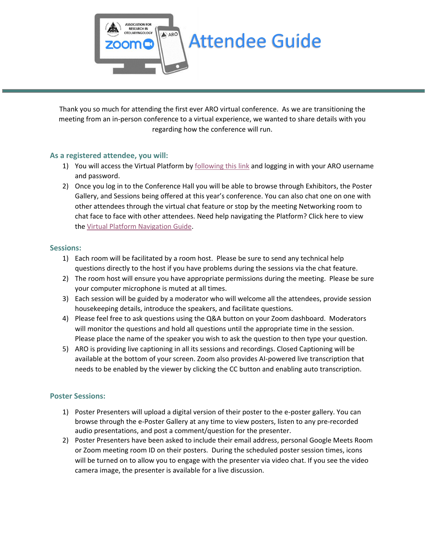

Thank you so much for attending the first ever ARO virtual conference. As we are transitioning the meeting from an in-person conference to a virtual experience, we wanted to share details with you regarding how the conference will run.

# **As a registered attendee, you will:**

- 1) You will access the Virtual Platform by [following this link](https://aro.societyconference.com/v2/) and logging in with your ARO username and password.
- 2) Once you log in to the Conference Hall you will be able to browse through Exhibitors, the Poster Gallery, and Sessions being offered at this year's conference. You can also chat one on one with other attendees through the virtual chat feature or stop by the meeting Networking room to chat face to face with other attendees. Need help navigating the Platform? Click here to view the [Virtual Platform Navigation Guide.](http://pmg.joynadmin.org/documents/1050/601c2de0ef0d267759e347b0.pdf)

### **Sessions:**

- 1) Each room will be facilitated by a room host. Please be sure to send any technical help questions directly to the host if you have problems during the sessions via the chat feature.
- 2) The room host will ensure you have appropriate permissions during the meeting. Please be sure your computer microphone is muted at all times.
- 3) Each session will be guided by a moderator who will welcome all the attendees, provide session housekeeping details, introduce the speakers, and facilitate questions.
- 4) Please feel free to ask questions using the Q&A button on your Zoom dashboard. Moderators will monitor the questions and hold all questions until the appropriate time in the session. Please place the name of the speaker you wish to ask the question to then type your question.
- 5) ARO is providing live captioning in all its sessions and recordings. Closed Captioning will be available at the bottom of your screen. Zoom also provides AI-powered live transcription that needs to be enabled by the viewer by clicking the CC button and enabling auto transcription.

### **Poster Sessions:**

- 1) Poster Presenters will upload a digital version of their poster to the e-poster gallery. You can browse through the e-Poster Gallery at any time to view posters, listen to any pre-recorded audio presentations, and post a comment/question for the presenter.
- 2) Poster Presenters have been asked to include their email address, personal Google Meets Room or Zoom meeting room ID on their posters. During the scheduled poster session times, icons will be turned on to allow you to engage with the presenter via video chat. If you see the video camera image, the presenter is available for a live discussion.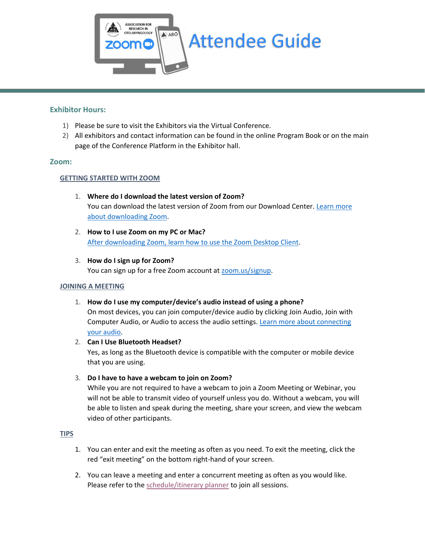

### **Exhibitor Hours:**

- 1) Please be sure to visit the Exhibitors via the Virtual Conference.
- 2) All exhibitors and contact information can be found in the online Program Book or on the main page of the Conference Platform in the Exhibitor hall.

### **Zoom:**

## **GETTING STARTED WITH ZOOM**

- 1. **Where do I download the latest version of Zoom?** You can download the latest version of Zoom from our Download Center. Learn more [about downloading Zoom.](https://support.zoom.us/hc/en-us/articles/201362233)
- 2. **How to I use Zoom on my PC or Mac?** [After downloading Zoom, learn how to use the Zoom Desktop Client.](https://support.zoom.us/hc/en-us/articles/201362033-Getting-Started-on-PC-and-Mac)
- 3. **How do I sign up for Zoom?** You can sign up for a free Zoom account at [zoom.us/signup.](https://zoom.us/signup)

### **JOINING A MEETING**

1. **How do I use my computer/device's audio instead of using a phone?**

On most devices, you can join computer/device audio by clicking Join Audio, Join with Computer Audio, or Audio to access the audio settings. [Learn more about connecting](https://support.zoom.us/hc/en-us/articles/201362283-How-Do-I-Join-or-Test-My-Computer-Audio-)  [your audio.](https://support.zoom.us/hc/en-us/articles/201362283-How-Do-I-Join-or-Test-My-Computer-Audio-)

2. **Can I Use Bluetooth Headset?**

Yes, as long as the Bluetooth device is compatible with the computer or mobile device that you are using.

3. **Do I have to have a webcam to join on Zoom?**

While you are not required to have a webcam to join a Zoom Meeting or Webinar, you will not be able to transmit video of yourself unless you do. Without a webcam, you will be able to listen and speak during the meeting, share your screen, and view the webcam video of other participants.

### **TIPS**

- 1. You can enter and exit the meeting as often as you need. To exit the meeting, click the red "exit meeting" on the bottom right-hand of your screen.
- 2. You can leave a meeting and enter a concurrent meeting as often as you would like. Please refer to the [schedule/itinerary planner](https://aro.societyconference.com/v2/) to join all sessions.